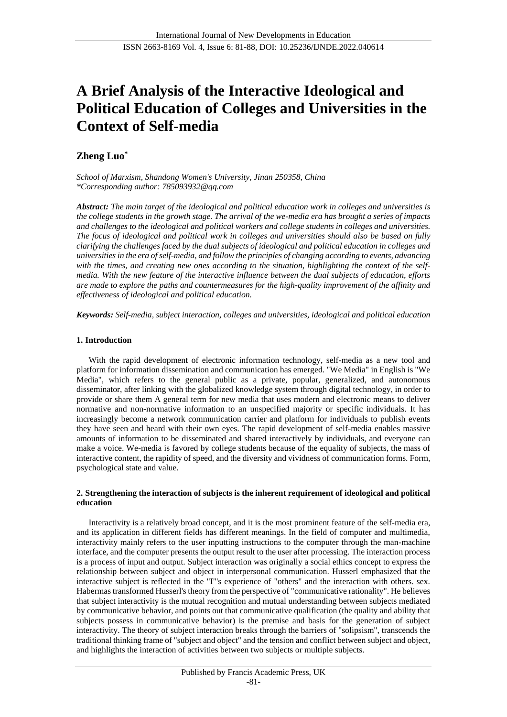# **A Brief Analysis of the Interactive Ideological and Political Education of Colleges and Universities in the Context of Self-media**

# **Zheng Luo\***

*School of Marxism, Shandong Women's University, Jinan 250358, China \*Corresponding author: [785093932@qq.com](mailto:785093932@qq.com)*

*Abstract: The main target of the ideological and political education work in colleges and universities is the college students in the growth stage. The arrival of the we-media era has brought a series of impacts and challenges to the ideological and political workers and college students in colleges and universities. The focus of ideological and political work in colleges and universities should also be based on fully clarifying the challenges faced by the dual subjects of ideological and political education in colleges and universities in the era of self-media, and follow the principles of changing according to events, advancing*  with the times, and creating new ones according to the situation, highlighting the context of the self*media. With the new feature of the interactive influence between the dual subjects of education, efforts are made to explore the paths and countermeasures for the high-quality improvement of the affinity and effectiveness of ideological and political education.*

*Keywords: Self-media, subject interaction, colleges and universities, ideological and political education*

## **1. Introduction**

With the rapid development of electronic information technology, self-media as a new tool and platform for information dissemination and communication has emerged. "We Media" in English is "We Media", which refers to the general public as a private, popular, generalized, and autonomous disseminator, after linking with the globalized knowledge system through digital technology, in order to provide or share them A general term for new media that uses modern and electronic means to deliver normative and non-normative information to an unspecified majority or specific individuals. It has increasingly become a network communication carrier and platform for individuals to publish events they have seen and heard with their own eyes. The rapid development of self-media enables massive amounts of information to be disseminated and shared interactively by individuals, and everyone can make a voice. We-media is favored by college students because of the equality of subjects, the mass of interactive content, the rapidity of speed, and the diversity and vividness of communication forms. Form, psychological state and value.

## **2. Strengthening the interaction of subjects is the inherent requirement of ideological and political education**

Interactivity is a relatively broad concept, and it is the most prominent feature of the self-media era, and its application in different fields has different meanings. In the field of computer and multimedia, interactivity mainly refers to the user inputting instructions to the computer through the man-machine interface, and the computer presents the output result to the user after processing. The interaction process is a process of input and output. Subject interaction was originally a social ethics concept to express the relationship between subject and object in interpersonal communication. Husserl emphasized that the interactive subject is reflected in the "I"'s experience of "others" and the interaction with others. sex. Habermas transformed Husserl's theory from the perspective of "communicative rationality". He believes that subject interactivity is the mutual recognition and mutual understanding between subjects mediated by communicative behavior, and points out that communicative qualification (the quality and ability that subjects possess in communicative behavior) is the premise and basis for the generation of subject interactivity. The theory of subject interaction breaks through the barriers of "solipsism", transcends the traditional thinking frame of "subject and object" and the tension and conflict between subject and object, and highlights the interaction of activities between two subjects or multiple subjects.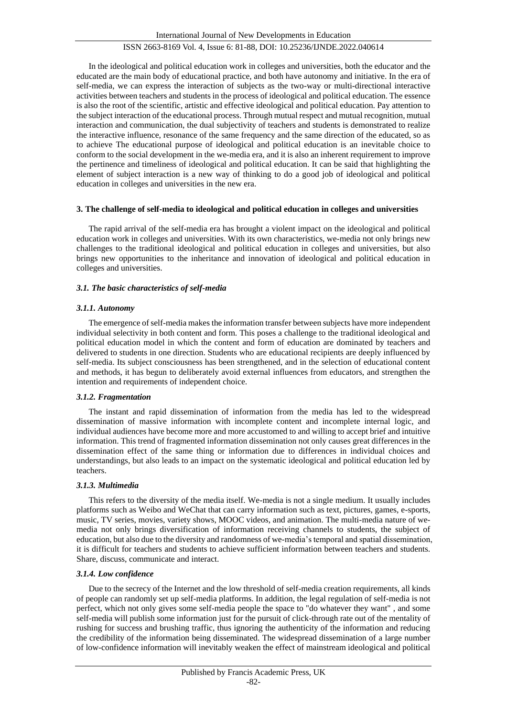In the ideological and political education work in colleges and universities, both the educator and the educated are the main body of educational practice, and both have autonomy and initiative. In the era of self-media, we can express the interaction of subjects as the two-way or multi-directional interactive activities between teachers and students in the process of ideological and political education. The essence is also the root of the scientific, artistic and effective ideological and political education. Pay attention to the subject interaction of the educational process. Through mutual respect and mutual recognition, mutual interaction and communication, the dual subjectivity of teachers and students is demonstrated to realize the interactive influence, resonance of the same frequency and the same direction of the educated, so as to achieve The educational purpose of ideological and political education is an inevitable choice to conform to the social development in the we-media era, and it is also an inherent requirement to improve the pertinence and timeliness of ideological and political education. It can be said that highlighting the element of subject interaction is a new way of thinking to do a good job of ideological and political education in colleges and universities in the new era.

#### **3. The challenge of self-media to ideological and political education in colleges and universities**

The rapid arrival of the self-media era has brought a violent impact on the ideological and political education work in colleges and universities. With its own characteristics, we-media not only brings new challenges to the traditional ideological and political education in colleges and universities, but also brings new opportunities to the inheritance and innovation of ideological and political education in colleges and universities.

## *3.1. The basic characteristics of self-media*

## *3.1.1. Autonomy*

The emergence of self-media makes the information transfer between subjects have more independent individual selectivity in both content and form. This poses a challenge to the traditional ideological and political education model in which the content and form of education are dominated by teachers and delivered to students in one direction. Students who are educational recipients are deeply influenced by self-media. Its subject consciousness has been strengthened, and in the selection of educational content and methods, it has begun to deliberately avoid external influences from educators, and strengthen the intention and requirements of independent choice.

## *3.1.2. Fragmentation*

The instant and rapid dissemination of information from the media has led to the widespread dissemination of massive information with incomplete content and incomplete internal logic, and individual audiences have become more and more accustomed to and willing to accept brief and intuitive information. This trend of fragmented information dissemination not only causes great differences in the dissemination effect of the same thing or information due to differences in individual choices and understandings, but also leads to an impact on the systematic ideological and political education led by teachers.

## *3.1.3. Multimedia*

This refers to the diversity of the media itself. We-media is not a single medium. It usually includes platforms such as Weibo and WeChat that can carry information such as text, pictures, games, e-sports, music, TV series, movies, variety shows, MOOC videos, and animation. The multi-media nature of wemedia not only brings diversification of information receiving channels to students, the subject of education, but also due to the diversity and randomness of we-media's temporal and spatial dissemination, it is difficult for teachers and students to achieve sufficient information between teachers and students. Share, discuss, communicate and interact.

## *3.1.4. Low confidence*

Due to the secrecy of the Internet and the low threshold of self-media creation requirements, all kinds of people can randomly set up self-media platforms. In addition, the legal regulation of self-media is not perfect, which not only gives some self-media people the space to "do whatever they want" , and some self-media will publish some information just for the pursuit of click-through rate out of the mentality of rushing for success and brushing traffic, thus ignoring the authenticity of the information and reducing the credibility of the information being disseminated. The widespread dissemination of a large number of low-confidence information will inevitably weaken the effect of mainstream ideological and political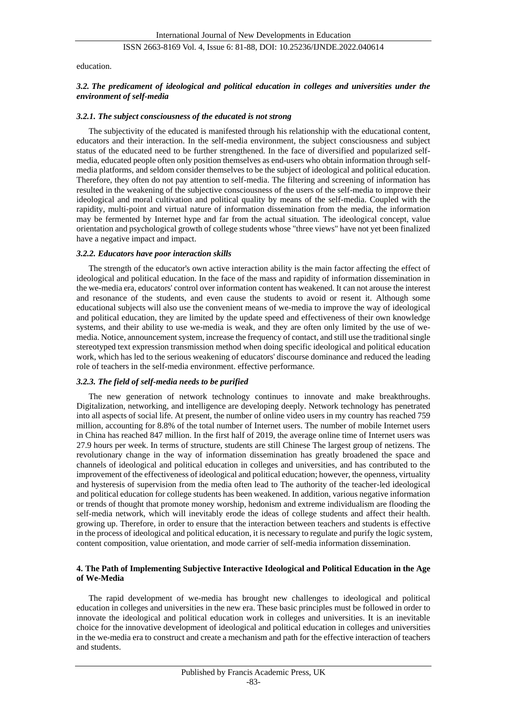education.

## *3.2. The predicament of ideological and political education in colleges and universities under the environment of self-media*

#### *3.2.1. The subject consciousness of the educated is not strong*

The subjectivity of the educated is manifested through his relationship with the educational content, educators and their interaction. In the self-media environment, the subject consciousness and subject status of the educated need to be further strengthened. In the face of diversified and popularized selfmedia, educated people often only position themselves as end-users who obtain information through selfmedia platforms, and seldom consider themselves to be the subject of ideological and political education. Therefore, they often do not pay attention to self-media. The filtering and screening of information has resulted in the weakening of the subjective consciousness of the users of the self-media to improve their ideological and moral cultivation and political quality by means of the self-media. Coupled with the rapidity, multi-point and virtual nature of information dissemination from the media, the information may be fermented by Internet hype and far from the actual situation. The ideological concept, value orientation and psychological growth of college students whose "three views" have not yet been finalized have a negative impact and impact.

#### *3.2.2. Educators have poor interaction skills*

The strength of the educator's own active interaction ability is the main factor affecting the effect of ideological and political education. In the face of the mass and rapidity of information dissemination in the we-media era, educators' control over information content has weakened. It can not arouse the interest and resonance of the students, and even cause the students to avoid or resent it. Although some educational subjects will also use the convenient means of we-media to improve the way of ideological and political education, they are limited by the update speed and effectiveness of their own knowledge systems, and their ability to use we-media is weak, and they are often only limited by the use of wemedia. Notice, announcement system, increase the frequency of contact, and still use the traditional single stereotyped text expression transmission method when doing specific ideological and political education work, which has led to the serious weakening of educators' discourse dominance and reduced the leading role of teachers in the self-media environment. effective performance.

#### *3.2.3. The field of self-media needs to be purified*

The new generation of network technology continues to innovate and make breakthroughs. Digitalization, networking, and intelligence are developing deeply. Network technology has penetrated into all aspects of social life. At present, the number of online video users in my country has reached 759 million, accounting for 8.8% of the total number of Internet users. The number of mobile Internet users in China has reached 847 million. In the first half of 2019, the average online time of Internet users was 27.9 hours per week. In terms of structure, students are still Chinese The largest group of netizens. The revolutionary change in the way of information dissemination has greatly broadened the space and channels of ideological and political education in colleges and universities, and has contributed to the improvement of the effectiveness of ideological and political education; however, the openness, virtuality and hysteresis of supervision from the media often lead to The authority of the teacher-led ideological and political education for college students has been weakened. In addition, various negative information or trends of thought that promote money worship, hedonism and extreme individualism are flooding the self-media network, which will inevitably erode the ideas of college students and affect their health. growing up. Therefore, in order to ensure that the interaction between teachers and students is effective in the process of ideological and political education, it is necessary to regulate and purify the logic system, content composition, value orientation, and mode carrier of self-media information dissemination.

#### **4. The Path of Implementing Subjective Interactive Ideological and Political Education in the Age of We-Media**

The rapid development of we-media has brought new challenges to ideological and political education in colleges and universities in the new era. These basic principles must be followed in order to innovate the ideological and political education work in colleges and universities. It is an inevitable choice for the innovative development of ideological and political education in colleges and universities in the we-media era to construct and create a mechanism and path for the effective interaction of teachers and students.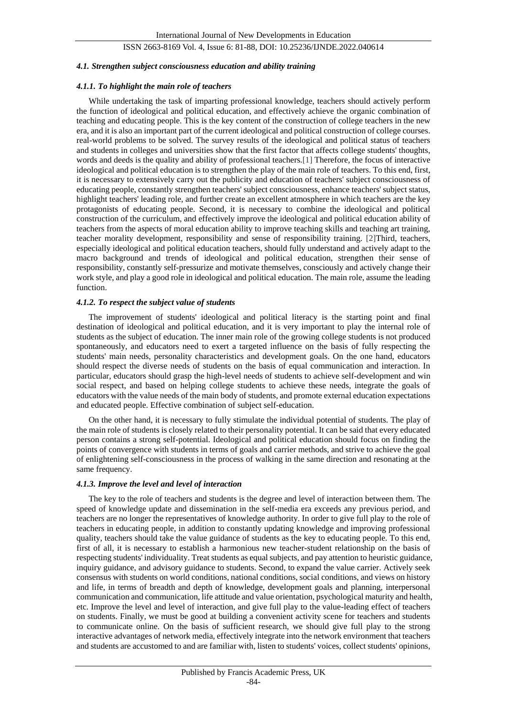#### *4.1. Strengthen subject consciousness education and ability training*

#### *4.1.1. To highlight the main role of teachers*

While undertaking the task of imparting professional knowledge, teachers should actively perform the function of ideological and political education, and effectively achieve the organic combination of teaching and educating people. This is the key content of the construction of college teachers in the new era, and it is also an important part of the current ideological and political construction of college courses. real-world problems to be solved. The survey results of the ideological and political status of teachers and students in colleges and universities show that the first factor that affects college students' thoughts, words and deeds is the quality and ability of professional teachers.[1] Therefore, the focus of interactive ideological and political education is to strengthen the play of the main role of teachers. To this end, first, it is necessary to extensively carry out the publicity and education of teachers' subject consciousness of educating people, constantly strengthen teachers' subject consciousness, enhance teachers' subject status, highlight teachers' leading role, and further create an excellent atmosphere in which teachers are the key protagonists of educating people. Second, it is necessary to combine the ideological and political construction of the curriculum, and effectively improve the ideological and political education ability of teachers from the aspects of moral education ability to improve teaching skills and teaching art training, teacher morality development, responsibility and sense of responsibility training. [2]Third, teachers, especially ideological and political education teachers, should fully understand and actively adapt to the macro background and trends of ideological and political education, strengthen their sense of responsibility, constantly self-pressurize and motivate themselves, consciously and actively change their work style, and play a good role in ideological and political education. The main role, assume the leading function.

## *4.1.2. To respect the subject value of students*

The improvement of students' ideological and political literacy is the starting point and final destination of ideological and political education, and it is very important to play the internal role of students as the subject of education. The inner main role of the growing college students is not produced spontaneously, and educators need to exert a targeted influence on the basis of fully respecting the students' main needs, personality characteristics and development goals. On the one hand, educators should respect the diverse needs of students on the basis of equal communication and interaction. In particular, educators should grasp the high-level needs of students to achieve self-development and win social respect, and based on helping college students to achieve these needs, integrate the goals of educators with the value needs of the main body of students, and promote external education expectations and educated people. Effective combination of subject self-education.

On the other hand, it is necessary to fully stimulate the individual potential of students. The play of the main role of students is closely related to their personality potential. It can be said that every educated person contains a strong self-potential. Ideological and political education should focus on finding the points of convergence with students in terms of goals and carrier methods, and strive to achieve the goal of enlightening self-consciousness in the process of walking in the same direction and resonating at the same frequency.

#### *4.1.3. Improve the level and level of interaction*

The key to the role of teachers and students is the degree and level of interaction between them. The speed of knowledge update and dissemination in the self-media era exceeds any previous period, and teachers are no longer the representatives of knowledge authority. In order to give full play to the role of teachers in educating people, in addition to constantly updating knowledge and improving professional quality, teachers should take the value guidance of students as the key to educating people. To this end, first of all, it is necessary to establish a harmonious new teacher-student relationship on the basis of respecting students' individuality. Treat students as equal subjects, and pay attention to heuristic guidance, inquiry guidance, and advisory guidance to students. Second, to expand the value carrier. Actively seek consensus with students on world conditions, national conditions, social conditions, and views on history and life, in terms of breadth and depth of knowledge, development goals and planning, interpersonal communication and communication, life attitude and value orientation, psychological maturity and health, etc. Improve the level and level of interaction, and give full play to the value-leading effect of teachers on students. Finally, we must be good at building a convenient activity scene for teachers and students to communicate online. On the basis of sufficient research, we should give full play to the strong interactive advantages of network media, effectively integrate into the network environment that teachers and students are accustomed to and are familiar with, listen to students' voices, collect students' opinions,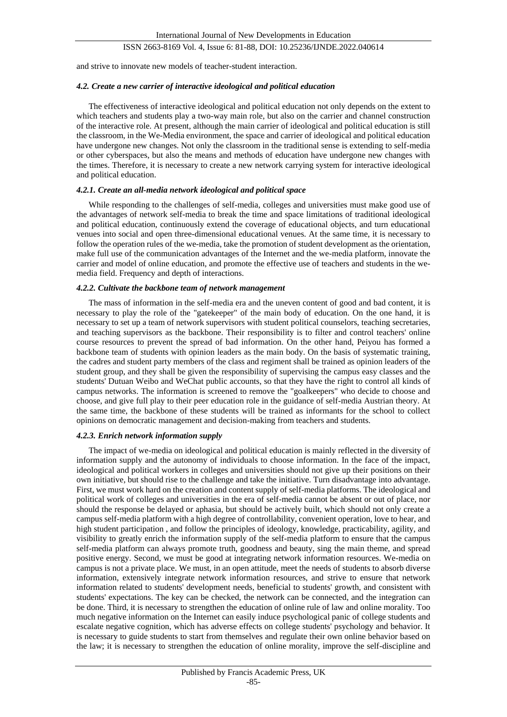and strive to innovate new models of teacher-student interaction.

#### *4.2. Create a new carrier of interactive ideological and political education*

The effectiveness of interactive ideological and political education not only depends on the extent to which teachers and students play a two-way main role, but also on the carrier and channel construction of the interactive role. At present, although the main carrier of ideological and political education is still the classroom, in the We-Media environment, the space and carrier of ideological and political education have undergone new changes. Not only the classroom in the traditional sense is extending to self-media or other cyberspaces, but also the means and methods of education have undergone new changes with the times. Therefore, it is necessary to create a new network carrying system for interactive ideological and political education.

#### *4.2.1. Create an all-media network ideological and political space*

While responding to the challenges of self-media, colleges and universities must make good use of the advantages of network self-media to break the time and space limitations of traditional ideological and political education, continuously extend the coverage of educational objects, and turn educational venues into social and open three-dimensional educational venues. At the same time, it is necessary to follow the operation rules of the we-media, take the promotion of student development as the orientation, make full use of the communication advantages of the Internet and the we-media platform, innovate the carrier and model of online education, and promote the effective use of teachers and students in the wemedia field. Frequency and depth of interactions.

#### *4.2.2. Cultivate the backbone team of network management*

The mass of information in the self-media era and the uneven content of good and bad content, it is necessary to play the role of the "gatekeeper" of the main body of education. On the one hand, it is necessary to set up a team of network supervisors with student political counselors, teaching secretaries, and teaching supervisors as the backbone. Their responsibility is to filter and control teachers' online course resources to prevent the spread of bad information. On the other hand, Peiyou has formed a backbone team of students with opinion leaders as the main body. On the basis of systematic training, the cadres and student party members of the class and regiment shall be trained as opinion leaders of the student group, and they shall be given the responsibility of supervising the campus easy classes and the students' Dutuan Weibo and WeChat public accounts, so that they have the right to control all kinds of campus networks. The information is screened to remove the "goalkeepers" who decide to choose and choose, and give full play to their peer education role in the guidance of self-media Austrian theory. At the same time, the backbone of these students will be trained as informants for the school to collect opinions on democratic management and decision-making from teachers and students.

## *4.2.3. Enrich network information supply*

The impact of we-media on ideological and political education is mainly reflected in the diversity of information supply and the autonomy of individuals to choose information. In the face of the impact, ideological and political workers in colleges and universities should not give up their positions on their own initiative, but should rise to the challenge and take the initiative. Turn disadvantage into advantage. First, we must work hard on the creation and content supply of self-media platforms. The ideological and political work of colleges and universities in the era of self-media cannot be absent or out of place, nor should the response be delayed or aphasia, but should be actively built, which should not only create a campus self-media platform with a high degree of controllability, convenient operation, love to hear, and high student participation , and follow the principles of ideology, knowledge, practicability, agility, and visibility to greatly enrich the information supply of the self-media platform to ensure that the campus self-media platform can always promote truth, goodness and beauty, sing the main theme, and spread positive energy. Second, we must be good at integrating network information resources. We-media on campus is not a private place. We must, in an open attitude, meet the needs of students to absorb diverse information, extensively integrate network information resources, and strive to ensure that network information related to students' development needs, beneficial to students' growth, and consistent with students' expectations. The key can be checked, the network can be connected, and the integration can be done. Third, it is necessary to strengthen the education of online rule of law and online morality. Too much negative information on the Internet can easily induce psychological panic of college students and escalate negative cognition, which has adverse effects on college students' psychology and behavior. It is necessary to guide students to start from themselves and regulate their own online behavior based on the law; it is necessary to strengthen the education of online morality, improve the self-discipline and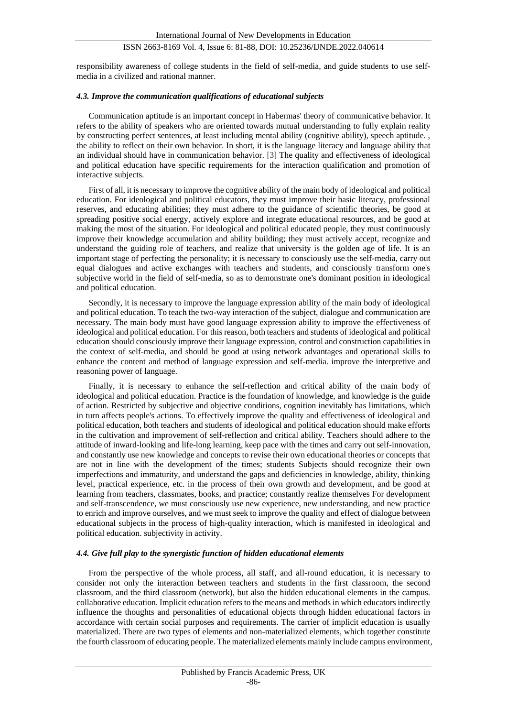responsibility awareness of college students in the field of self-media, and guide students to use selfmedia in a civilized and rational manner.

#### *4.3. Improve the communication qualifications of educational subjects*

Communication aptitude is an important concept in Habermas' theory of communicative behavior. It refers to the ability of speakers who are oriented towards mutual understanding to fully explain reality by constructing perfect sentences, at least including mental ability (cognitive ability), speech aptitude. , the ability to reflect on their own behavior. In short, it is the language literacy and language ability that an individual should have in communication behavior. [3] The quality and effectiveness of ideological and political education have specific requirements for the interaction qualification and promotion of interactive subjects.

First of all, it is necessary to improve the cognitive ability of the main body of ideological and political education. For ideological and political educators, they must improve their basic literacy, professional reserves, and educating abilities; they must adhere to the guidance of scientific theories, be good at spreading positive social energy, actively explore and integrate educational resources, and be good at making the most of the situation. For ideological and political educated people, they must continuously improve their knowledge accumulation and ability building; they must actively accept, recognize and understand the guiding role of teachers, and realize that university is the golden age of life. It is an important stage of perfecting the personality; it is necessary to consciously use the self-media, carry out equal dialogues and active exchanges with teachers and students, and consciously transform one's subjective world in the field of self-media, so as to demonstrate one's dominant position in ideological and political education.

Secondly, it is necessary to improve the language expression ability of the main body of ideological and political education. To teach the two-way interaction of the subject, dialogue and communication are necessary. The main body must have good language expression ability to improve the effectiveness of ideological and political education. For this reason, both teachers and students of ideological and political education should consciously improve their language expression, control and construction capabilities in the context of self-media, and should be good at using network advantages and operational skills to enhance the content and method of language expression and self-media. improve the interpretive and reasoning power of language.

Finally, it is necessary to enhance the self-reflection and critical ability of the main body of ideological and political education. Practice is the foundation of knowledge, and knowledge is the guide of action. Restricted by subjective and objective conditions, cognition inevitably has limitations, which in turn affects people's actions. To effectively improve the quality and effectiveness of ideological and political education, both teachers and students of ideological and political education should make efforts in the cultivation and improvement of self-reflection and critical ability. Teachers should adhere to the attitude of inward-looking and life-long learning, keep pace with the times and carry out self-innovation, and constantly use new knowledge and concepts to revise their own educational theories or concepts that are not in line with the development of the times; students Subjects should recognize their own imperfections and immaturity, and understand the gaps and deficiencies in knowledge, ability, thinking level, practical experience, etc. in the process of their own growth and development, and be good at learning from teachers, classmates, books, and practice; constantly realize themselves For development and self-transcendence, we must consciously use new experience, new understanding, and new practice to enrich and improve ourselves, and we must seek to improve the quality and effect of dialogue between educational subjects in the process of high-quality interaction, which is manifested in ideological and political education. subjectivity in activity.

## *4.4. Give full play to the synergistic function of hidden educational elements*

From the perspective of the whole process, all staff, and all-round education, it is necessary to consider not only the interaction between teachers and students in the first classroom, the second classroom, and the third classroom (network), but also the hidden educational elements in the campus. collaborative education. Implicit education refers to the means and methods in which educators indirectly influence the thoughts and personalities of educational objects through hidden educational factors in accordance with certain social purposes and requirements. The carrier of implicit education is usually materialized. There are two types of elements and non-materialized elements, which together constitute the fourth classroom of educating people. The materialized elements mainly include campus environment,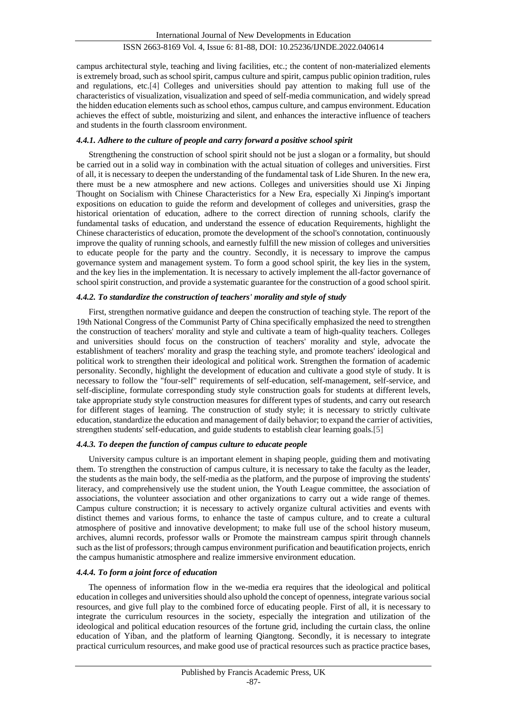campus architectural style, teaching and living facilities, etc.; the content of non-materialized elements is extremely broad, such as school spirit, campus culture and spirit, campus public opinion tradition, rules and regulations, etc.[4] Colleges and universities should pay attention to making full use of the characteristics of visualization, visualization and speed of self-media communication, and widely spread the hidden education elements such as school ethos, campus culture, and campus environment. Education achieves the effect of subtle, moisturizing and silent, and enhances the interactive influence of teachers and students in the fourth classroom environment.

### *4.4.1. Adhere to the culture of people and carry forward a positive school spirit*

Strengthening the construction of school spirit should not be just a slogan or a formality, but should be carried out in a solid way in combination with the actual situation of colleges and universities. First of all, it is necessary to deepen the understanding of the fundamental task of Lide Shuren. In the new era, there must be a new atmosphere and new actions. Colleges and universities should use Xi Jinping Thought on Socialism with Chinese Characteristics for a New Era, especially Xi Jinping's important expositions on education to guide the reform and development of colleges and universities, grasp the historical orientation of education, adhere to the correct direction of running schools, clarify the fundamental tasks of education, and understand the essence of education Requirements, highlight the Chinese characteristics of education, promote the development of the school's connotation, continuously improve the quality of running schools, and earnestly fulfill the new mission of colleges and universities to educate people for the party and the country. Secondly, it is necessary to improve the campus governance system and management system. To form a good school spirit, the key lies in the system, and the key lies in the implementation. It is necessary to actively implement the all-factor governance of school spirit construction, and provide a systematic guarantee for the construction of a good school spirit.

#### *4.4.2. To standardize the construction of teachers' morality and style of study*

First, strengthen normative guidance and deepen the construction of teaching style. The report of the 19th National Congress of the Communist Party of China specifically emphasized the need to strengthen the construction of teachers' morality and style and cultivate a team of high-quality teachers. Colleges and universities should focus on the construction of teachers' morality and style, advocate the establishment of teachers' morality and grasp the teaching style, and promote teachers' ideological and political work to strengthen their ideological and political work. Strengthen the formation of academic personality. Secondly, highlight the development of education and cultivate a good style of study. It is necessary to follow the "four-self" requirements of self-education, self-management, self-service, and self-discipline, formulate corresponding study style construction goals for students at different levels, take appropriate study style construction measures for different types of students, and carry out research for different stages of learning. The construction of study style; it is necessary to strictly cultivate education, standardize the education and management of daily behavior; to expand the carrier of activities, strengthen students' self-education, and guide students to establish clear learning goals.[5]

### *4.4.3. To deepen the function of campus culture to educate people*

University campus culture is an important element in shaping people, guiding them and motivating them. To strengthen the construction of campus culture, it is necessary to take the faculty as the leader, the students as the main body, the self-media as the platform, and the purpose of improving the students' literacy, and comprehensively use the student union, the Youth League committee, the association of associations, the volunteer association and other organizations to carry out a wide range of themes. Campus culture construction; it is necessary to actively organize cultural activities and events with distinct themes and various forms, to enhance the taste of campus culture, and to create a cultural atmosphere of positive and innovative development; to make full use of the school history museum, archives, alumni records, professor walls or Promote the mainstream campus spirit through channels such as the list of professors; through campus environment purification and beautification projects, enrich the campus humanistic atmosphere and realize immersive environment education.

## *4.4.4. To form a joint force of education*

The openness of information flow in the we-media era requires that the ideological and political education in colleges and universities should also uphold the concept of openness, integrate various social resources, and give full play to the combined force of educating people. First of all, it is necessary to integrate the curriculum resources in the society, especially the integration and utilization of the ideological and political education resources of the fortune grid, including the curtain class, the online education of Yiban, and the platform of learning Qiangtong. Secondly, it is necessary to integrate practical curriculum resources, and make good use of practical resources such as practice practice bases,